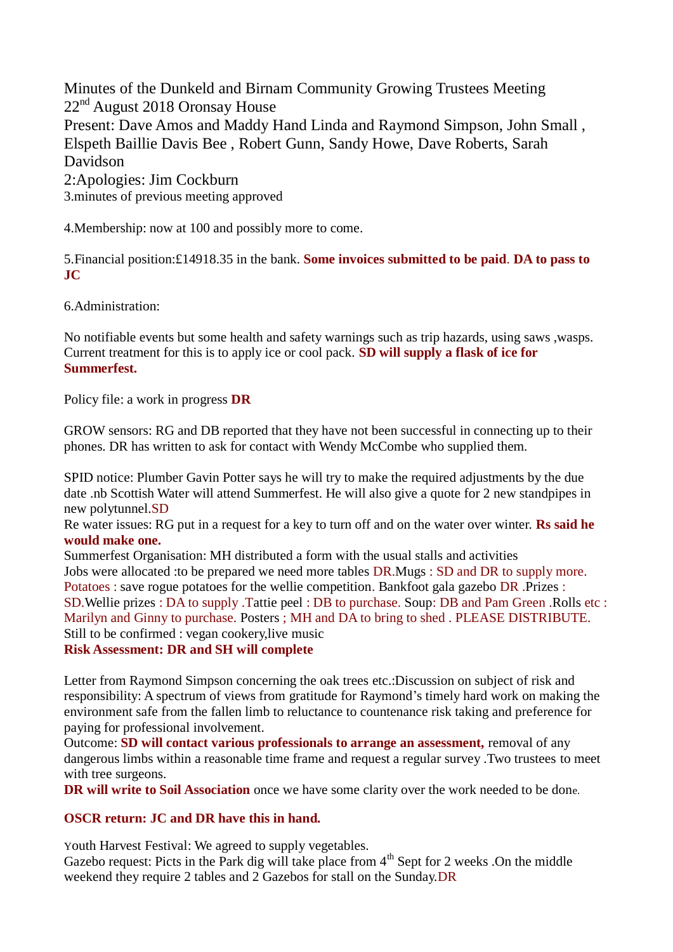Minutes of the Dunkeld and Birnam Community Growing Trustees Meeting 22<sup>nd</sup> August 2018 Oronsay House Present: Dave Amos and Maddy Hand Linda and Raymond Simpson, John Small , Elspeth Baillie Davis Bee , Robert Gunn, Sandy Howe, Dave Roberts, Sarah Davidson 2:Apologies: Jim Cockburn 3.minutes of previous meeting approved

4.Membership: now at 100 and possibly more to come.

5.Financial position:£14918.35 in the bank. **Some invoices submitted to be paid**. **DA to pass to JC**

6.Administration:

No notifiable events but some health and safety warnings such as trip hazards, using saws ,wasps. Current treatment for this is to apply ice or cool pack. **SD will supply a flask of ice for Summerfest.**

Policy file: a work in progress **DR**

GROW sensors: RG and DB reported that they have not been successful in connecting up to their phones. DR has written to ask for contact with Wendy McCombe who supplied them.

SPID notice: Plumber Gavin Potter says he will try to make the required adjustments by the due date .nb Scottish Water will attend Summerfest. He will also give a quote for 2 new standpipes in new polytunnel.SD

Re water issues: RG put in a request for a key to turn off and on the water over winter. **Rs said he would make one.**

Summerfest Organisation: MH distributed a form with the usual stalls and activities Jobs were allocated :to be prepared we need more tables DR.Mugs : SD and DR to supply more. Potatoes : save rogue potatoes for the wellie competition. Bankfoot gala gazebo DR .Prizes : SD.Wellie prizes : DA to supply .Tattie peel : DB to purchase. Soup: DB and Pam Green .Rolls etc : Marilyn and Ginny to purchase. Posters ; MH and DA to bring to shed . PLEASE DISTRIBUTE. Still to be confirmed : vegan cookery,live music

## **Risk Assessment: DR and SH will complete**

Letter from Raymond Simpson concerning the oak trees etc.:Discussion on subject of risk and responsibility: A spectrum of views from gratitude for Raymond's timely hard work on making the environment safe from the fallen limb to reluctance to countenance risk taking and preference for paying for professional involvement.

Outcome: **SD will contact various professionals to arrange an assessment,** removal of any dangerous limbs within a reasonable time frame and request a regular survey .Two trustees to meet with tree surgeons.

**DR will write to Soil Association** once we have some clarity over the work needed to be done.

## **OSCR return: JC and DR have this in hand.**

Youth Harvest Festival: We agreed to supply vegetables.

Gazebo request: Picts in the Park dig will take place from  $4<sup>th</sup>$  Sept for 2 weeks .On the middle weekend they require 2 tables and 2 Gazebos for stall on the Sunday.DR